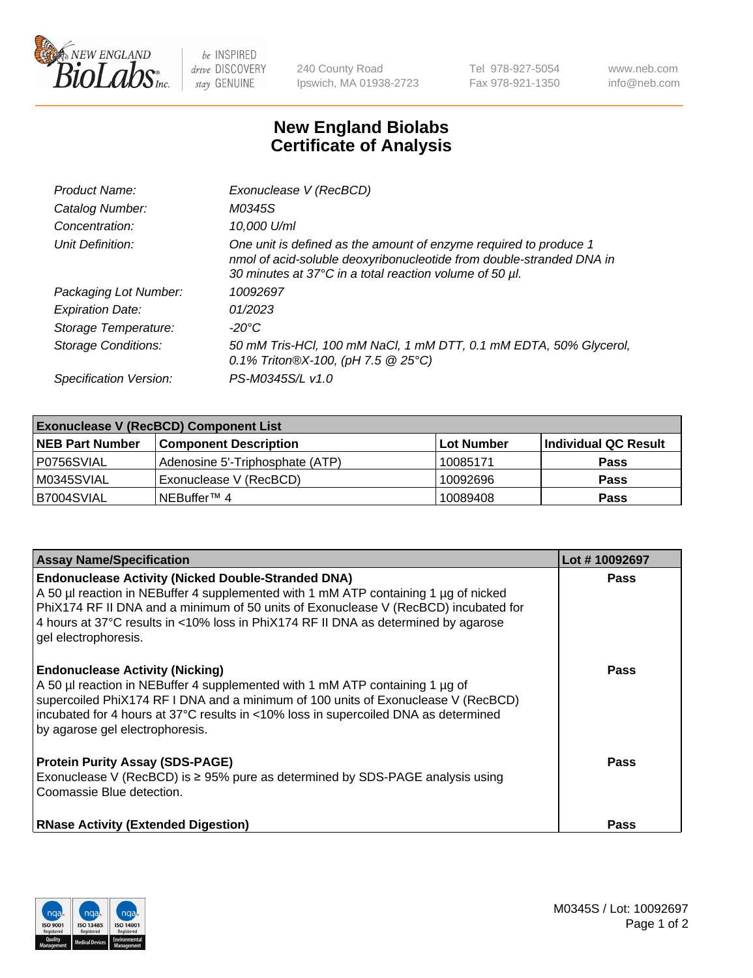

 $be$  INSPIRED drive DISCOVERY stay GENUINE

240 County Road Ipswich, MA 01938-2723 Tel 978-927-5054 Fax 978-921-1350 www.neb.com info@neb.com

## **New England Biolabs Certificate of Analysis**

| Product Name:              | Exonuclease V (RecBCD)                                                                                                                                                                               |
|----------------------------|------------------------------------------------------------------------------------------------------------------------------------------------------------------------------------------------------|
| Catalog Number:            | M0345S                                                                                                                                                                                               |
| Concentration:             | 10,000 U/ml                                                                                                                                                                                          |
| Unit Definition:           | One unit is defined as the amount of enzyme required to produce 1<br>nmol of acid-soluble deoxyribonucleotide from double-stranded DNA in<br>30 minutes at 37°C in a total reaction volume of 50 µl. |
| Packaging Lot Number:      | 10092697                                                                                                                                                                                             |
| <b>Expiration Date:</b>    | 01/2023                                                                                                                                                                                              |
| Storage Temperature:       | $-20^{\circ}$ C                                                                                                                                                                                      |
| <b>Storage Conditions:</b> | 50 mM Tris-HCl, 100 mM NaCl, 1 mM DTT, 0.1 mM EDTA, 50% Glycerol,<br>0.1% Triton®X-100, (pH 7.5 $@25°C$ )                                                                                            |
| Specification Version:     | PS-M0345S/L v1.0                                                                                                                                                                                     |

| <b>Exonuclease V (RecBCD) Component List</b> |                                 |                   |                      |  |
|----------------------------------------------|---------------------------------|-------------------|----------------------|--|
| <b>NEB Part Number</b>                       | <b>Component Description</b>    | <b>Lot Number</b> | Individual QC Result |  |
| I P0756SVIAL                                 | Adenosine 5'-Triphosphate (ATP) | 10085171          | <b>Pass</b>          |  |
| M0345SVIAL                                   | Exonuclease V (RecBCD)          | 10092696          | <b>Pass</b>          |  |
| B7004SVIAL                                   | INEBuffer™ 4                    | 10089408          | <b>Pass</b>          |  |

| <b>Assay Name/Specification</b>                                                                                                                                                                                                                                                                                                                       | Lot #10092697 |
|-------------------------------------------------------------------------------------------------------------------------------------------------------------------------------------------------------------------------------------------------------------------------------------------------------------------------------------------------------|---------------|
| <b>Endonuclease Activity (Nicked Double-Stranded DNA)</b><br>A 50 µl reaction in NEBuffer 4 supplemented with 1 mM ATP containing 1 µg of nicked<br>PhiX174 RF II DNA and a minimum of 50 units of Exonuclease V (RecBCD) incubated for<br>4 hours at 37°C results in <10% loss in PhiX174 RF II DNA as determined by agarose<br>gel electrophoresis. | <b>Pass</b>   |
| <b>Endonuclease Activity (Nicking)</b><br>A 50 µl reaction in NEBuffer 4 supplemented with 1 mM ATP containing 1 µg of<br>supercoiled PhiX174 RF I DNA and a minimum of 100 units of Exonuclease V (RecBCD)<br>incubated for 4 hours at 37°C results in <10% loss in supercoiled DNA as determined<br>by agarose gel electrophoresis.                 | <b>Pass</b>   |
| <b>Protein Purity Assay (SDS-PAGE)</b><br>Exonuclease V (RecBCD) is $\geq$ 95% pure as determined by SDS-PAGE analysis using<br>Coomassie Blue detection.                                                                                                                                                                                             | <b>Pass</b>   |
| <b>RNase Activity (Extended Digestion)</b>                                                                                                                                                                                                                                                                                                            | Pass          |